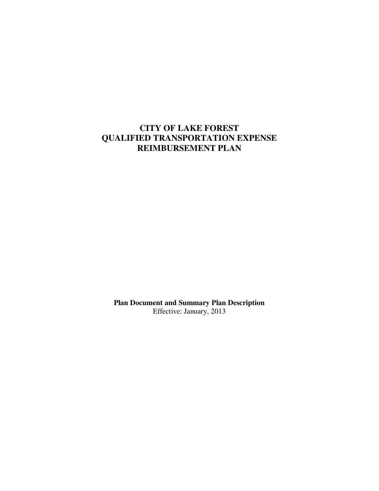# **CITY OF LAKE FOREST QUALIFIED TRANSPORTATION EXPENSE REIMBURSEMENT PLAN**

**Plan Document and Summary Plan Description**  Effective: January, 2013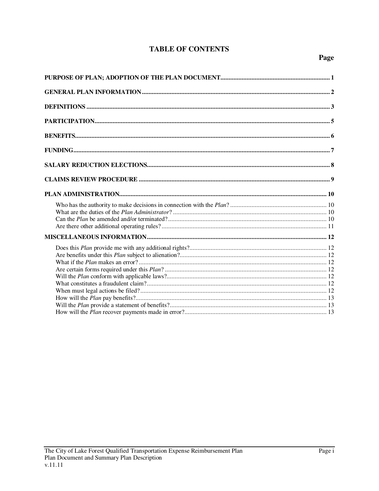# **TABLE OF CONTENTS**

# Page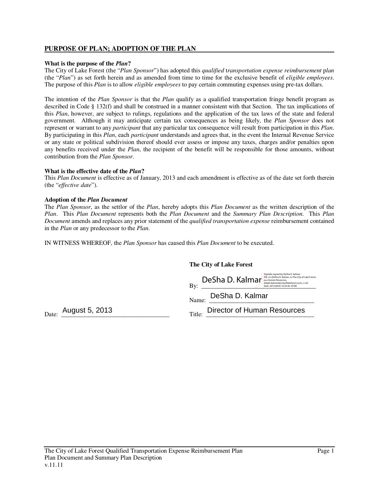# **PURPOSE OF PLAN; ADOPTION OF THE PLAN**

### **What is the purpose of the** *Plan***?**

The City of Lake Forest (the "*Plan Sponsor*") has adopted this *qualified* t*ransportation expense reimbursement* p*lan*  (the "*Plan*") as set forth herein and as amended from time to time for the exclusive benefit of *eligible employees*. The purpose of this *Plan* is to allow *eligible employees* to pay certain commuting expenses using pre-tax dollars.

The intention of the *Plan Sponsor* is that the *Plan* qualify as a qualified transportation fringe benefit program as described in Code § 132(f) and shall be construed in a manner consistent with that Section. The tax implications of this *Plan*, however, are subject to rulings, regulations and the application of the tax laws of the state and federal government. Although it may anticipate certain tax consequences as being likely, the *Plan Sponsor* does not represent or warrant to any *participant* that any particular tax consequence will result from participation in this *Plan*. By participating in this *Plan*, each *participant* understands and agrees that, in the event the Internal Revenue Service or any state or political subdivision thereof should ever assess or impose any taxes, charges and/or penalties upon any benefits received under the *Plan*, the recipient of the benefit will be responsible for those amounts, without contribution from the *Plan Sponsor*.

#### **What is the effective date of the** *Plan***?**

This *Plan Document* is effective as of January, 2013 and each amendment is effective as of the date set forth therein (the "*effective date*").

#### **Adoption of the** *Plan Document*

The *Plan Sponsor*, as the settlor of the *Plan*, hereby adopts this *Plan Document* as the written description of the *Plan*. This *Plan Document* represents both the *Plan Document* and the *Summary Plan Description*. This *Plan Document* amends and replaces any prior statement of the *qualified transportation expense* reimbursement contained in the *Plan* or any predecessor to the *Plan*.

IN WITNESS WHEREOF, the *Plan Sponsor* has caused this *Plan Document* to be executed.

|                | The City of Lake Forest                                                                                                                                                                                                     |
|----------------|-----------------------------------------------------------------------------------------------------------------------------------------------------------------------------------------------------------------------------|
|                | Digitally signed by DeSha D. Kalmar<br>DN: cn=DeSha D. Kalmar, o=The City of Lake Forest,<br>DeSha D. Kalmar<br>ou=Human Resources.<br>email=kalmard@cityoflakeforest.com, c=US<br>By:<br>Date: 2013.08.05 16:54:46 -05'00' |
|                | DeSha D. Kalmar<br>Name:                                                                                                                                                                                                    |
| August 5, 2013 | Director of Human Resources<br>Title:                                                                                                                                                                                       |

Date:  $\frac{1}{2}$  August 5, 2013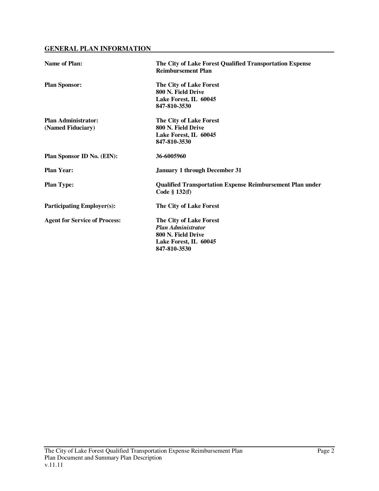# **GENERAL PLAN INFORMATION**

| <b>Name of Plan:</b>                            | The City of Lake Forest Qualified Transportation Expense<br><b>Reimbursement Plan</b>                               |
|-------------------------------------------------|---------------------------------------------------------------------------------------------------------------------|
| <b>Plan Sponsor:</b>                            | The City of Lake Forest<br>800 N. Field Drive<br>Lake Forest, IL 60045<br>847-810-3530                              |
| <b>Plan Administrator:</b><br>(Named Fiduciary) | The City of Lake Forest<br>800 N. Field Drive<br>Lake Forest, IL 60045<br>847-810-3530                              |
| Plan Sponsor ID No. (EIN):                      | 36-6005960                                                                                                          |
| <b>Plan Year:</b>                               | <b>January 1 through December 31</b>                                                                                |
| <b>Plan Type:</b>                               | <b>Qualified Transportation Expense Reimbursement Plan under</b><br>Code § 132(f)                                   |
| <b>Participating Employer(s):</b>               | The City of Lake Forest                                                                                             |
| <b>Agent for Service of Process:</b>            | The City of Lake Forest<br><b>Plan Administrator</b><br>800 N. Field Drive<br>Lake Forest, IL 60045<br>847-810-3530 |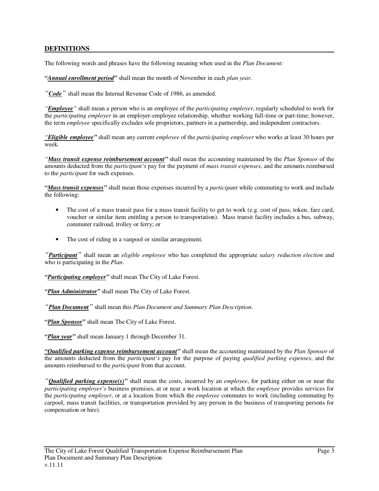# **DEFINITIONS**

The following words and phrases have the following meaning when used in the *Plan Document:*

*"Annual enrollment period"* shall mean the month of November in each *plan year*.

*"Code"* shall mean the Internal Revenue Code of 1986, as amended.

*"Employee"* shall mean a person who is an employee of the *participating employer*, regularly scheduled to work for the *participating employer* in an employer-employee relationship, whether working full-time or part-time; however, the term *employee* specifically excludes sole proprietors, partners in a partnership, and independent contractors.

*"Eligible employee"* shall mean any current *employee* of the *participating employer* who works at least 30 hours per week.

*"Mass transit expense reimbursement account"* shall mean the accounting maintained by the *Plan Sponsor* of the amounts deducted from the *participant's* pay for the payment of *mass transit expenses*, and the amounts reimbursed to the *participant* for such expenses.

*"Mass transit expenses"* shall mean those expenses incurred by a *participant* while commuting to work and include the following:

- The cost of a mass transit pass for a mass transit facility to get to work (e.g. cost of pass, token, fare card, voucher or similar item entitling a person to transportation). Mass transit facility includes a bus, subway, commuter railroad, trolley or ferry; or
- The cost of riding in a vanpool or similar arrangement.

*"Participant"* shall mean an *eligible employee* who has completed the appropriate *salary reduction election* and who is participating in the *Plan*.

*"Participating employer"* shall mean The City of Lake Forest.

*"Plan Administrator"* shall mean The City of Lake Forest.

*"Plan Document"* shall mean this *Plan Document and Summary Plan Description*.

*"Plan Sponsor"* shall mean The City of Lake Forest.

*"Plan year"* shall mean January 1 through December 31.

*"Qualified parking expense reimbursement account"* shall mean the accounting maintained by the *Plan Sponsor* of the amounts deducted from the *participant's* pay for the purpose of paying *qualified parking expenses*, and the amounts reimbursed to the *participant* from that account.

*"Qualified parking expense(s)"* shall mean the costs, incurred by an *employee*, for parking either on or near the *participating employer's* business premises, at or near a work location at which the *employee* provides services for the *participating employer*, or at a location from which the *employee* commutes to work (including commuting by carpool, mass transit facilities, or transportation provided by any person in the business of transporting persons for compensation or hire).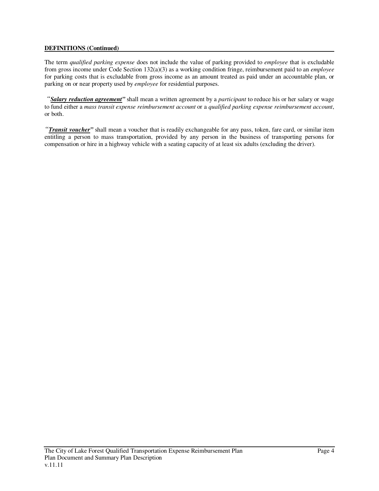## **DEFINITIONS (Continued)**

The term *qualified parking expense* does not include the value of parking provided to *employee* that is excludable from gross income under Code Section 132(a)(3) as a working condition fringe, reimbursement paid to an *employee*  for parking costs that is excludable from gross income as an amount treated as paid under an accountable plan, or parking on or near property used by *employee* for residential purposes.

*"Salary reduction agreement"* shall mean a written agreement by a *participant* to reduce his or her salary or wage to fund either a *mass transit expense reimbursement account* or a *qualified parking expense reimbursement account*, or both.

*"Transit voucher"* shall mean a voucher that is readily exchangeable for any pass, token, fare card, or similar item entitling a person to mass transportation, provided by any person in the business of transporting persons for compensation or hire in a highway vehicle with a seating capacity of at least six adults (excluding the driver).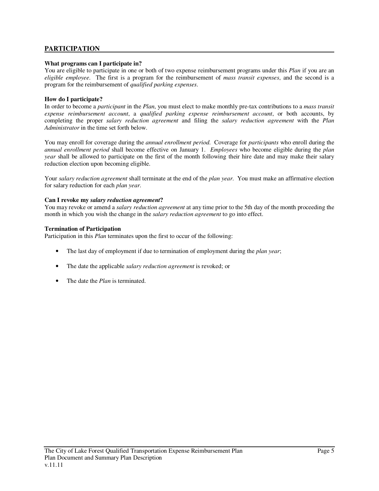# **PARTICIPATION**

### **What programs can I participate in?**

You are eligible to participate in one or both of two expense reimbursement programs under this *Plan* if you are an *eligible employee*. The first is a program for the reimbursement of *mass transit expenses*, and the second is a program for the reimbursement of *qualified parking expenses*.

### **How do I participate?**

In order to become a *participant* in the *Plan*, you must elect to make monthly pre-tax contributions to a *mass transit expense reimbursement account*, a *qualified parking expense reimbursement account*, or both accounts, by completing the proper *salary reduction agreement* and filing the *salary reduction agreement* with the *Plan Administrator* in the time set forth below.

You may enroll for coverage during the *annual enrollment period*. Coverage for *participants* who enroll during the *annual enrollment period* shall become effective on January 1. *Employees* who become eligible during the *plan year* shall be allowed to participate on the first of the month following their hire date and may make their salary reduction election upon becoming eligible.

Your *salary reduction agreement* shall terminate at the end of the *plan year*. You must make an affirmative election for salary reduction for each *plan year*.

#### **Can I revoke my** *salary reduction agreement***?**

You may revoke or amend a *salary reduction agreement* at any time prior to the 5th day of the month proceeding the month in which you wish the change in the *salary reduction agreement* to go into effect.

#### **Termination of Participation**

Participation in this *Plan* terminates upon the first to occur of the following:

- The last day of employment if due to termination of employment during the *plan year*;
- The date the applicable *salary reduction agreement* is revoked; or
- The date the *Plan* is terminated.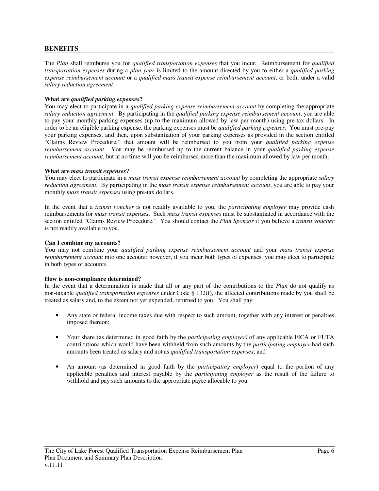## **BENEFITS**

The *Plan* shall reimburse you for *qualified transportation expenses* that you incur. Reimbursement for *qualified transportation expenses* during a *plan year* is limited to the amount directed by you to either a *qualified parking expense reimbursement account* or a *qualified mass transit expense reimbursement account*, or both, under a valid *salary reduction agreement*.

### **What are** *qualified parking expenses***?**

You may elect to participate in a *qualified parking expense reimbursement account* by completing the appropriate *salary reduction agreement*. By participating in the *qualified parking expense reimbursement account*, you are able to pay your monthly parking expenses (up to the maximum allowed by law per month) using pre-tax dollars. In order to be an eligible parking expense, the parking expenses must be *qualified parking expenses*. You must pre-pay your parking expenses, and then, upon substantiation of your parking expenses as provided in the section entitled "Claims Review Procedure," that amount will be reimbursed to you from your *qualified parking expense reimbursement account*. You may be reimbursed up to the current balance in your *qualified parking expense reimbursement account*, but at no time will you be reimbursed more than the maximum allowed by law per month.

#### **What are** *mass transit expenses***?**

You may elect to participate in a *mass transit expense reimbursement account* by completing the appropriate *salary reduction agreement*. By participating in the *mass transit expense reimbursement account*, you are able to pay your monthly *mass transit expenses* using pre-tax dollars.

In the event that a *transit voucher* is not readily available to you, the *participating employer* may provide cash reimbursements for *mass transit expenses*. Such *mass transit expenses* must be substantiated in accordance with the section entitled "Claims Review Procedure." You should contact the *Plan Sponsor* if you believe a *transit voucher*  is not readily available to you.

#### **Can I combine my accounts?**

You may not combine your *qualified parking expense reimbursement account* and your *mass transit expense reimbursement account* into one account; however, if you incur both types of expenses, you may elect to participate in both types of accounts.

#### **How is non-compliance determined?**

In the event that a determination is made that all or any part of the contributions to the *Plan* do not qualify as non-taxable *qualified transportation expenses* under Code § 132(f), the affected contributions made by you shall be treated as salary and, to the extent not yet expended, returned to you. You shall pay:

- Any state or federal income taxes due with respect to such amount, together with any interest or penalties imposed thereon;
- Your share (as determined in good faith by the *participating employer)* of any applicable FICA or FUTA contributions which would have been withheld from such amounts by the *participating employer* had such amounts been treated as salary and not as *qualified transportation expenses*; and
- An amount (as determined in good faith by the *participating employer*) equal to the portion of any applicable penalties and interest payable by the *participating employer* as the result of the failure to withhold and pay such amounts to the appropriate payee allocable to you.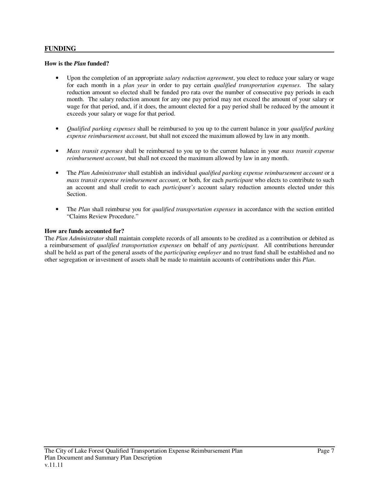## **FUNDING**

### **How is the** *Plan* **funded?**

- Upon the completion of an appropriate *salary reduction agreement*, you elect to reduce your salary or wage for each month in a *plan year* in order to pay certain *qualified transportation expenses*. The salary reduction amount so elected shall be funded pro rata over the number of consecutive pay periods in each month. The salary reduction amount for any one pay period may not exceed the amount of your salary or wage for that period, and, if it does, the amount elected for a pay period shall be reduced by the amount it exceeds your salary or wage for that period.
- *Qualified parking expenses* shall be reimbursed to you up to the current balance in your *qualified parking expense reimbursement account*, but shall not exceed the maximum allowed by law in any month.
- *Mass transit expenses* shall be reimbursed to you up to the current balance in your *mass transit expense reimbursement account*, but shall not exceed the maximum allowed by law in any month.
- The *Plan Administrator* shall establish an individual *qualified parking expense reimbursement account* or a *mass transit expense reimbursement account*, or both, for each *participant* who elects to contribute to such an account and shall credit to each *participant's* account salary reduction amounts elected under this Section.
- The *Plan* shall reimburse you for *qualified transportation expenses* in accordance with the section entitled "Claims Review Procedure."

### **How are funds accounted for?**

The *Plan Administrator* shall maintain complete records of all amounts to be credited as a contribution or debited as a reimbursement of *qualified transportation expenses* on behalf of any *participant*. All contributions hereunder shall be held as part of the general assets of the *participating employer* and no trust fund shall be established and no other segregation or investment of assets shall be made to maintain accounts of contributions under this *Plan*.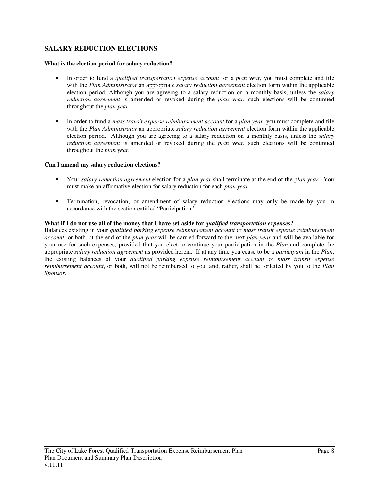# **SALARY REDUCTION ELECTIONS**

### **What is the election period for salary reduction?**

- In order to fund a *qualified transportation expense account* for a *plan year*, you must complete and file with the *Plan Administrator* an appropriate *salary reduction agreement* election form within the applicable election period. Although you are agreeing to a salary reduction on a monthly basis, unless the *salary reduction agreement* is amended or revoked during the *plan year*, such elections will be continued throughout the *plan year*.
- In order to fund a *mass transit expense reimbursement account* for a *plan year*, you must complete and file with the *Plan Administrator* an appropriate *salary reduction agreement* election form within the applicable election period. Although you are agreeing to a salary reduction on a monthly basis, unless the *salary reduction agreement* is amended or revoked during the *plan year*, such elections will be continued throughout the *plan year*.

### **Can I amend my salary reduction elections?**

- Your *salary reduction agreement* election for a *plan year* shall terminate at the end of the p*lan year*. You must make an affirmative election for salary reduction for each *plan year*.
- Termination, revocation, or amendment of salary reduction elections may only be made by you in accordance with the section entitled "Participation."

#### **What if I do not use all of the money that I have set aside for** *qualified transportation expenses***?**

Balances existing in your *qualified parking expense reimbursement account* or *mass transit expense reimbursement account*, or both, at the end of the *plan year* will be carried forward to the next *plan year* and will be available for your use for such expenses, provided that you elect to continue your participation in the *Plan* and complete the appropriate *salary reduction agreement* as provided herein. If at any time you cease to be a *participant* in the *Plan*, the existing balances of your *qualified parking expense reimbursement account* or *mass transit expense reimbursement account*, or both, will not be reimbursed to you, and, rather, shall be forfeited by you to the *Plan Sponsor*.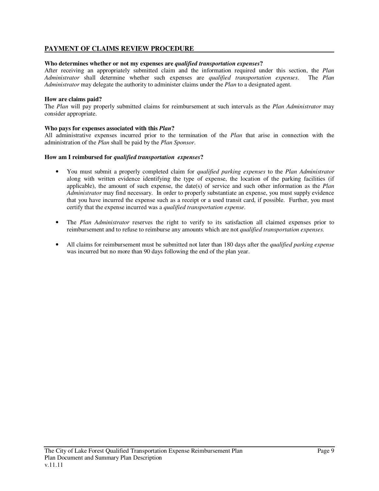# **PAYMENT OF CLAIMS REVIEW PROCEDURE**

### **Who determines whether or not my expenses are** *qualified transportation expenses***?**

After receiving an appropriately submitted claim and the information required under this section, the *Plan Administrator* shall determine whether such expenses are *qualified transportation expenses*. The *Plan Administrator* may delegate the authority to administer claims under the *Plan* to a designated agent.

### **How are claims paid?**

The *Plan* will pay properly submitted claims for reimbursement at such intervals as the *Plan Administrator* may consider appropriate.

#### **Who pays for expenses associated with this** *Plan***?**

All administrative expenses incurred prior to the termination of the *Plan* that arise in connection with the administration of the *Plan* shall be paid by the *Plan Sponsor*.

#### **How am I reimbursed for** *qualified transportation expenses***?**

- You must submit a properly completed claim for *qualified parking expenses* to the *Plan Administrator* along with written evidence identifying the type of expense, the location of the parking facilities (if applicable), the amount of such expense, the date(s) of service and such other information as the *Plan Administrator* may find necessary. In order to properly substantiate an expense, you must supply evidence that you have incurred the expense such as a receipt or a used transit card, if possible. Further, you must certify that the expense incurred was a *qualified transportation expense*.
- The *Plan Administrator* reserves the right to verify to its satisfaction all claimed expenses prior to reimbursement and to refuse to reimburse any amounts which are not *qualified transportation expenses*.
- All claims for reimbursement must be submitted not later than 180 days after the *qualified parking expense* was incurred but no more than 90 days following the end of the plan year.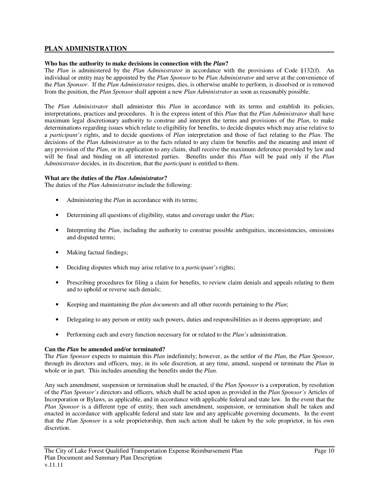# **PLAN ADMINISTRATION**

### **Who has the authority to make decisions in connection with the** *Plan***?**

The *Plan* is administered by the *Plan Administrator* in accordance with the provisions of Code §132(f). An individual or entity may be appointed by the *Plan Sponsor* to be *Plan Administrator* and serve at the convenience of the *Plan Sponsor*. If the *Plan Administrator* resigns, dies, is otherwise unable to perform, is dissolved or is removed from the position, the *Plan Sponsor* shall appoint a new *Plan Administrator* as soon as reasonably possible.

The *Plan Administrator* shall administer this *Plan* in accordance with its terms and establish its policies, interpretations, practices and procedures. It is the express intent of this *Plan* that the *Plan Administrator* shall have maximum legal discretionary authority to construe and interpret the terms and provisions of the *Plan*, to make determinations regarding issues which relate to eligibility for benefits, to decide disputes which may arise relative to a *participant's* rights, and to decide questions of *Plan* interpretation and those of fact relating to the *Plan*. The decisions of the *Plan Administrator* as to the facts related to any claim for benefits and the meaning and intent of any provision of the *Plan*, or its application to any claim, shall receive the maximum deference provided by law and will be final and binding on all interested parties. Benefits under this *Plan* will be paid only if the *Plan Administrator* decides, in its discretion, that the *participant* is entitled to them.

### **What are the duties of the** *Plan Administrator***?**

The duties of the *Plan Administrator* include the following:

- Administering the *Plan* in accordance with its terms;
- Determining all questions of eligibility, status and coverage under the *Plan*;
- Interpreting the *Plan*, including the authority to construe possible ambiguities, inconsistencies, omissions and disputed terms;
- Making factual findings;
- Deciding disputes which may arise relative to a *participant's* rights;
- Prescribing procedures for filing a claim for benefits, to review claim denials and appeals relating to them and to uphold or reverse such denials;
- Keeping and maintaining the *plan documents* and all other records pertaining to the *Plan*;
- Delegating to any person or entity such powers, duties and responsibilities as it deems appropriate; and
- Performing each and every function necessary for or related to the *Plan's* administration.

### **Can the** *Plan* **be amended and/or terminated?**

The *Plan Sponsor* expects to maintain this *Plan* indefinitely; however, as the settlor of the *Plan*, the *Plan Sponsor*, through its directors and officers, may, in its sole discretion, at any time, amend, suspend or terminate the *Plan* in whole or in part. This includes amending the benefits under the *Plan*.

Any such amendment, suspension or termination shall be enacted, if the *Plan Sponsor* is a corporation, by resolution of the *Plan Sponsor's* directors and officers, which shall be acted upon as provided in the *Plan Sponsor's* Articles of Incorporation or Bylaws, as applicable, and in accordance with applicable federal and state law. In the event that the *Plan Sponsor* is a different type of entity, then such amendment, suspension, or termination shall be taken and enacted in accordance with applicable federal and state law and any applicable governing documents. In the event that the *Plan Sponsor* is a sole proprietorship, then such action shall be taken by the sole proprietor, in his own discretion.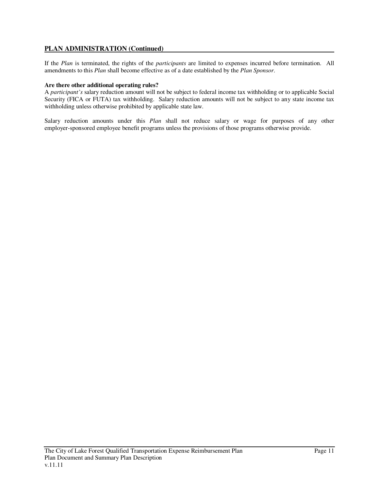# **PLAN ADMINISTRATION (Continued)**

If the *Plan* is terminated, the rights of the *participants* are limited to expenses incurred before termination. All amendments to this *Plan* shall become effective as of a date established by the *Plan Sponsor*.

### **Are there other additional operating rules?**

A *participant's* salary reduction amount will not be subject to federal income tax withholding or to applicable Social Security (FICA or FUTA) tax withholding. Salary reduction amounts will not be subject to any state income tax withholding unless otherwise prohibited by applicable state law.

Salary reduction amounts under this *Plan* shall not reduce salary or wage for purposes of any other employer-sponsored employee benefit programs unless the provisions of those programs otherwise provide.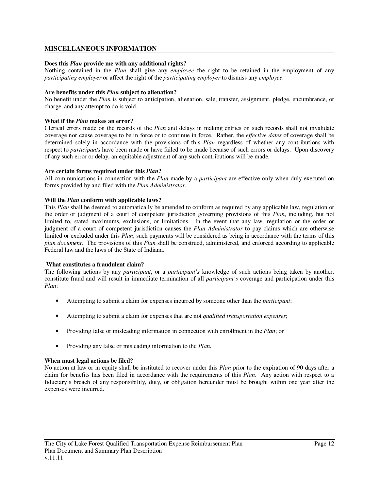# **MISCELLANEOUS INFORMATION**

### **Does this** *Plan* **provide me with any additional rights?**

Nothing contained in the *Plan* shall give any *employee* the right to be retained in the employment of any *participating employer* or affect the right of the *participating employer* to dismiss any *employee*.

### **Are benefits under this** *Plan* **subject to alienation?**

No benefit under the *Plan* is subject to anticipation, alienation, sale, transfer, assignment, pledge, encumbrance, or charge, and any attempt to do is void.

### **What if the** *Plan* **makes an error?**

Clerical errors made on the records of the *Plan* and delays in making entries on such records shall not invalidate coverage nor cause coverage to be in force or to continue in force. Rather, the *effective dates* of coverage shall be determined solely in accordance with the provisions of this *Plan* regardless of whether any contributions with respect to *participants* have been made or have failed to be made because of such errors or delays. Upon discovery of any such error or delay, an equitable adjustment of any such contributions will be made.

### **Are certain forms required under this** *Plan***?**

All communications in connection with the *Plan* made by a *participant* are effective only when duly executed on forms provided by and filed with the *Plan Administrator*.

### **Will the** *Plan* **conform with applicable laws?**

This *Plan* shall be deemed to automatically be amended to conform as required by any applicable law, regulation or the order or judgment of a court of competent jurisdiction governing provisions of this *Plan*, including, but not limited to, stated maximums, exclusions, or limitations. In the event that any law, regulation or the order or judgment of a court of competent jurisdiction causes the *Plan Administrator* to pay claims which are otherwise limited or excluded under this *Plan*, such payments will be considered as being in accordance with the terms of this *plan document*. The provisions of this *Plan* shall be construed, administered, and enforced according to applicable Federal law and the laws of the State of Indiana.

### **What constitutes a fraudulent claim?**

The following actions by any *participant*, or a *participant's* knowledge of such actions being taken by another, constitute fraud and will result in immediate termination of all *participant's* coverage and participation under this *Plan*:

- Attempting to submit a claim for expenses incurred by someone other than the *participant*;
- Attempting to submit a claim for expenses that are not *qualified transportation expenses*;
- Providing false or misleading information in connection with enrollment in the *Plan*; or
- Providing any false or misleading information to the *Plan*.

### **When must legal actions be filed?**

No action at law or in equity shall be instituted to recover under this *Plan* prior to the expiration of 90 days after a claim for benefits has been filed in accordance with the requirements of this *Plan*. Any action with respect to a fiduciary's breach of any responsibility, duty, or obligation hereunder must be brought within one year after the expenses were incurred.